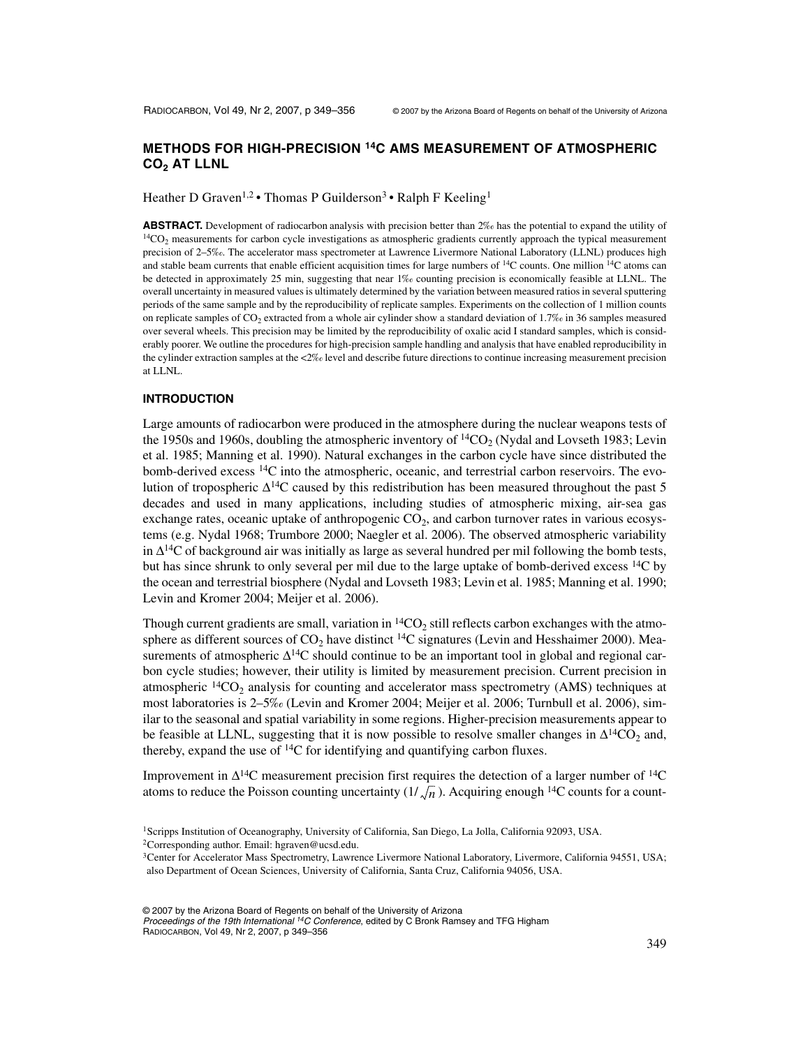# **METHODS FOR HIGH-PRECISION 14C AMS MEASUREMENT OF ATMOSPHERIC**  CO<sub>2</sub> AT LLNL

Heather D Graven<sup>1,2</sup> • Thomas P Guilderson<sup>3</sup> • Ralph F Keeling<sup>1</sup>

**ABSTRACT.** Development of radiocarbon analysis with precision better than 2‰ has the potential to expand the utility of  $14CO<sub>2</sub>$  measurements for carbon cycle investigations as atmospheric gradients currently approach the typical measurement precision of 2–5‰. The accelerator mass spectrometer at Lawrence Livermore National Laboratory (LLNL) produces high and stable beam currents that enable efficient acquisition times for large numbers of  $^{14}$ C counts. One million  $^{14}$ C atoms can be detected in approximately 25 min, suggesting that near 1‰ counting precision is economically feasible at LLNL. The overall uncertainty in measured values is ultimately determined by the variation between measured ratios in several sputtering periods of the same sample and by the reproducibility of replicate samples. Experiments on the collection of 1 million counts on replicate samples of  $CO_2$  extracted from a whole air cylinder show a standard deviation of 1.7‰ in 36 samples measured over several wheels. This precision may be limited by the reproducibility of oxalic acid I standard samples, which is considerably poorer. We outline the procedures for high-precision sample handling and analysis that have enabled reproducibility in the cylinder extraction samples at the  $<2\%$  level and describe future directions to continue increasing measurement precision at LLNL.

### **INTRODUCTION**

Large amounts of radiocarbon were produced in the atmosphere during the nuclear weapons tests of the 1950s and 1960s, doubling the atmospheric inventory of  $\frac{14CO_2}{N}$  (Nydal and Lovseth 1983; Levin et al. 1985; Manning et al. 1990). Natural exchanges in the carbon cycle have since distributed the bomb-derived excess <sup>14</sup>C into the atmospheric, oceanic, and terrestrial carbon reservoirs. The evolution of tropospheric ∆14C caused by this redistribution has been measured throughout the past 5 decades and used in many applications, including studies of atmospheric mixing, air-sea gas exchange rates, oceanic uptake of anthropogenic  $CO<sub>2</sub>$ , and carbon turnover rates in various ecosystems (e.g. Nydal 1968; Trumbore 2000; Naegler et al. 2006). The observed atmospheric variability in  $\Delta^{14}$ C of background air was initially as large as several hundred per mil following the bomb tests, but has since shrunk to only several per mil due to the large uptake of bomb-derived excess <sup>14</sup>C by the ocean and terrestrial biosphere (Nydal and Lovseth 1983; Levin et al. 1985; Manning et al. 1990; Levin and Kromer 2004; Meijer et al. 2006).

Though current gradients are small, variation in  ${}^{14}CO<sub>2</sub>$  still reflects carbon exchanges with the atmosphere as different sources of  $CO<sub>2</sub>$  have distinct <sup>14</sup>C signatures (Levin and Hesshaimer 2000). Measurements of atmospheric  $\Delta^{14}C$  should continue to be an important tool in global and regional carbon cycle studies; however, their utility is limited by measurement precision. Current precision in atmospheric  ${}^{14}CO_2$  analysis for counting and accelerator mass spectrometry (AMS) techniques at most laboratories is 2–5‰ (Levin and Kromer 2004; Meijer et al. 2006; Turnbull et al. 2006), similar to the seasonal and spatial variability in some regions. Higher-precision measurements appear to be feasible at LLNL, suggesting that it is now possible to resolve smaller changes in  $\Delta^{14}CO_2$  and, thereby, expand the use of  ${}^{14}C$  for identifying and quantifying carbon fluxes.

Improvement in  $\Delta^{14}C$  measurement precision first requires the detection of a larger number of  $^{14}C$ atoms to reduce the Poisson counting uncertainty  $(1/\sqrt{n})$ . Acquiring enough <sup>14</sup>C counts for a count-

© 2007 by the Arizona Board of Regents on behalf of the University of Arizona

Proceedings of the 19th International <sup>14</sup>C Conference, edited by C Bronk Ramsey and TFG Higham RADIOCARBON, Vol 49, Nr 2, 2007, p 349–356

<sup>1</sup>Scripps Institution of Oceanography, University of California, San Diego, La Jolla, California 92093, USA. 2Corresponding author. Email: hgraven@ucsd.edu.

<sup>3</sup>Center for Accelerator Mass Spectrometry, Lawrence Livermore National Laboratory, Livermore, California 94551, USA; also Department of Ocean Sciences, University of California, Santa Cruz, California 94056, USA.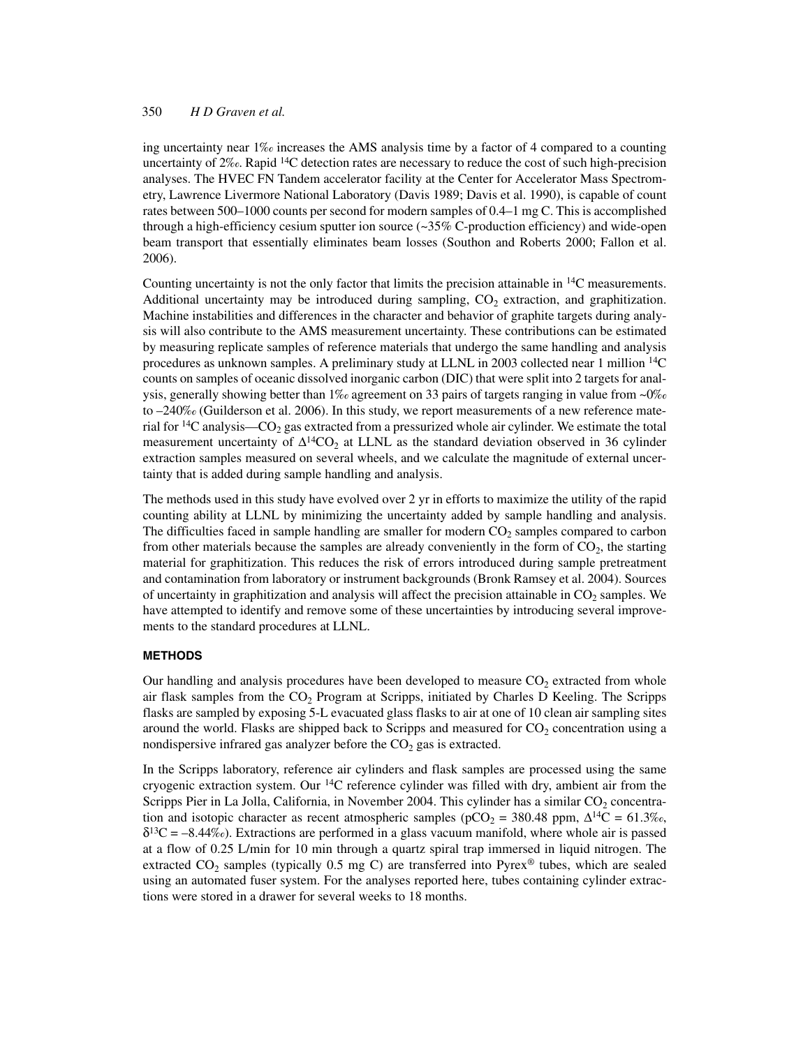ing uncertainty near 1‰ increases the AMS analysis time by a factor of 4 compared to a counting uncertainty of  $2\%$ . Rapid <sup>14</sup>C detection rates are necessary to reduce the cost of such high-precision analyses. The HVEC FN Tandem accelerator facility at the Center for Accelerator Mass Spectrometry, Lawrence Livermore National Laboratory (Davis 1989; Davis et al. 1990), is capable of count rates between 500–1000 counts per second for modern samples of 0.4–1 mg C. This is accomplished through a high-efficiency cesium sputter ion source  $\left(\sim 35\%$  C-production efficiency) and wide-open beam transport that essentially eliminates beam losses (Southon and Roberts 2000; Fallon et al. 2006).

Counting uncertainty is not the only factor that limits the precision attainable in 14C measurements. Additional uncertainty may be introduced during sampling,  $CO<sub>2</sub>$  extraction, and graphitization. Machine instabilities and differences in the character and behavior of graphite targets during analysis will also contribute to the AMS measurement uncertainty. These contributions can be estimated by measuring replicate samples of reference materials that undergo the same handling and analysis procedures as unknown samples. A preliminary study at LLNL in 2003 collected near 1 million 14C counts on samples of oceanic dissolved inorganic carbon (DIC) that were split into 2 targets for analysis, generally showing better than  $1\%$  agreement on 33 pairs of targets ranging in value from ~0% to –240‰ (Guilderson et al. 2006). In this study, we report measurements of a new reference material for  $14C$  analysis—CO<sub>2</sub> gas extracted from a pressurized whole air cylinder. We estimate the total measurement uncertainty of  $\Delta^{14}CO_2$  at LLNL as the standard deviation observed in 36 cylinder extraction samples measured on several wheels, and we calculate the magnitude of external uncertainty that is added during sample handling and analysis.

The methods used in this study have evolved over 2 yr in efforts to maximize the utility of the rapid counting ability at LLNL by minimizing the uncertainty added by sample handling and analysis. The difficulties faced in sample handling are smaller for modern  $CO<sub>2</sub>$  samples compared to carbon from other materials because the samples are already conveniently in the form of  $CO<sub>2</sub>$ , the starting material for graphitization. This reduces the risk of errors introduced during sample pretreatment and contamination from laboratory or instrument backgrounds (Bronk Ramsey et al. 2004). Sources of uncertainty in graphitization and analysis will affect the precision attainable in  $CO<sub>2</sub>$  samples. We have attempted to identify and remove some of these uncertainties by introducing several improvements to the standard procedures at LLNL.

#### **METHODS**

Our handling and analysis procedures have been developed to measure  $CO<sub>2</sub>$  extracted from whole air flask samples from the  $CO<sub>2</sub>$  Program at Scripps, initiated by Charles D Keeling. The Scripps flasks are sampled by exposing 5-L evacuated glass flasks to air at one of 10 clean air sampling sites around the world. Flasks are shipped back to Scripps and measured for  $CO<sub>2</sub>$  concentration using a nondispersive infrared gas analyzer before the  $CO<sub>2</sub>$  gas is extracted.

In the Scripps laboratory, reference air cylinders and flask samples are processed using the same cryogenic extraction system. Our 14C reference cylinder was filled with dry, ambient air from the Scripps Pier in La Jolla, California, in November 2004. This cylinder has a similar  $CO<sub>2</sub>$  concentration and isotopic character as recent atmospheric samples (pCO<sub>2</sub> = 380.48 ppm,  $\Delta^{14}C = 61.3\%$ <sub>0</sub>,  $\delta^{13}C = -8.44\%$ ). Extractions are performed in a glass vacuum manifold, where whole air is passed at a flow of 0.25 L/min for 10 min through a quartz spiral trap immersed in liquid nitrogen. The extracted  $CO_2$  samples (typically 0.5 mg C) are transferred into Pyrex<sup>®</sup> tubes, which are sealed using an automated fuser system. For the analyses reported here, tubes containing cylinder extractions were stored in a drawer for several weeks to 18 months.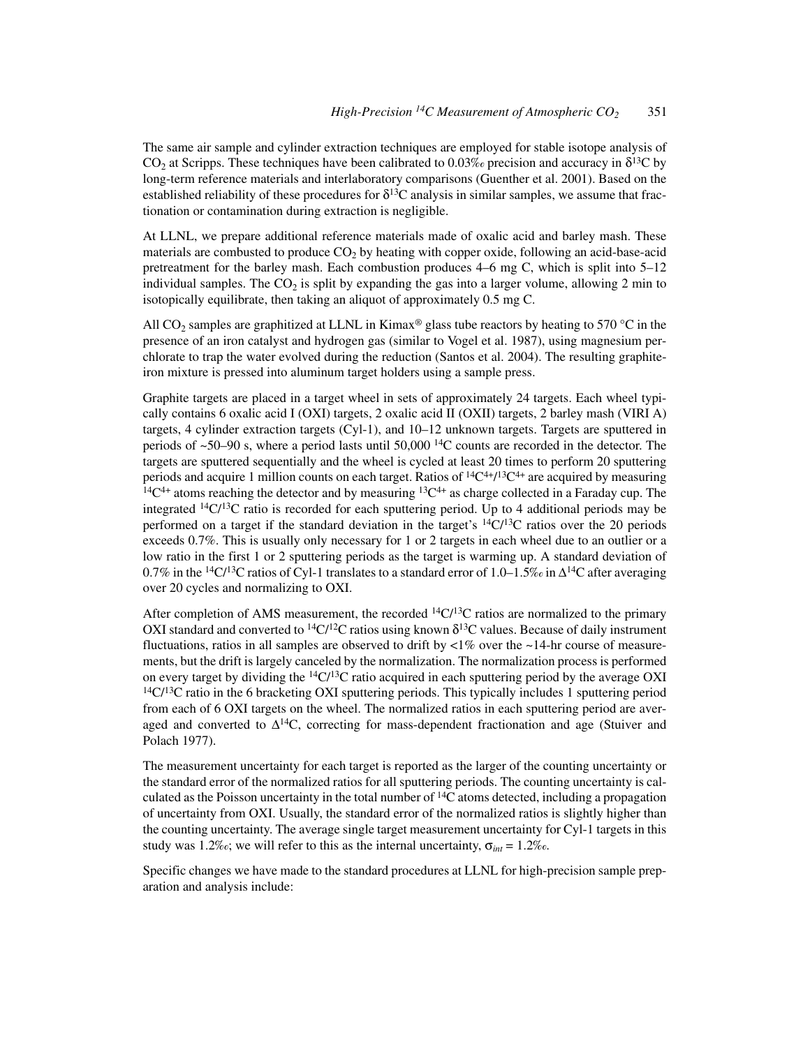The same air sample and cylinder extraction techniques are employed for stable isotope analysis of  $CO<sub>2</sub>$  at Scripps. These techniques have been calibrated to 0.03% precision and accuracy in  $\delta^{13}C$  by long-term reference materials and interlaboratory comparisons (Guenther et al. 2001). Based on the established reliability of these procedures for  $\delta^{13}C$  analysis in similar samples, we assume that fractionation or contamination during extraction is negligible.

At LLNL, we prepare additional reference materials made of oxalic acid and barley mash. These materials are combusted to produce  $CO<sub>2</sub>$  by heating with copper oxide, following an acid-base-acid pretreatment for the barley mash. Each combustion produces 4–6 mg C, which is split into 5–12 individual samples. The  $CO<sub>2</sub>$  is split by expanding the gas into a larger volume, allowing 2 min to isotopically equilibrate, then taking an aliquot of approximately 0.5 mg C.

All CO<sub>2</sub> samples are graphitized at LLNL in Kimax<sup>®</sup> glass tube reactors by heating to 570 °C in the presence of an iron catalyst and hydrogen gas (similar to Vogel et al. 1987), using magnesium perchlorate to trap the water evolved during the reduction (Santos et al. 2004). The resulting graphiteiron mixture is pressed into aluminum target holders using a sample press.

Graphite targets are placed in a target wheel in sets of approximately 24 targets. Each wheel typically contains 6 oxalic acid I (OXI) targets, 2 oxalic acid II (OXII) targets, 2 barley mash (VIRI A) targets, 4 cylinder extraction targets (Cyl-1), and 10–12 unknown targets. Targets are sputtered in periods of  $\sim$ 50–90 s, where a period lasts until 50,000<sup>14</sup>C counts are recorded in the detector. The targets are sputtered sequentially and the wheel is cycled at least 20 times to perform 20 sputtering periods and acquire 1 million counts on each target. Ratios of  ${}^{14}C^{4+}$  $I^{13}C^{4+}$  are acquired by measuring  $14C^{4+}$  atoms reaching the detector and by measuring  $13C^{4+}$  as charge collected in a Faraday cup. The integrated  $^{14}C/^{13}C$  ratio is recorded for each sputtering period. Up to 4 additional periods may be performed on a target if the standard deviation in the target's  ${}^{14}C/{}^{13}C$  ratios over the 20 periods exceeds 0.7%. This is usually only necessary for 1 or 2 targets in each wheel due to an outlier or a low ratio in the first 1 or 2 sputtering periods as the target is warming up. A standard deviation of 0.7% in the <sup>14</sup>C/<sup>13</sup>C ratios of Cyl-1 translates to a standard error of 1.0–1.5‰ in  $\Delta^{14}$ C after averaging over 20 cycles and normalizing to OXI.

After completion of AMS measurement, the recorded  ${}^{14}C/{}^{13}C$  ratios are normalized to the primary OXI standard and converted to <sup>14</sup>C/<sup>12</sup>C ratios using known  $\delta$ <sup>13</sup>C values. Because of daily instrument fluctuations, ratios in all samples are observed to drift by  $\langle 1\%$  over the  $\sim$ 14-hr course of measurements, but the drift is largely canceled by the normalization. The normalization process is performed on every target by dividing the  ${}^{14}C/{}^{13}C$  ratio acquired in each sputtering period by the average OXI  $14\text{C}/13\text{C}$  ratio in the 6 bracketing OXI sputtering periods. This typically includes 1 sputtering period from each of 6 OXI targets on the wheel. The normalized ratios in each sputtering period are averaged and converted to  $\Delta^{14}C$ , correcting for mass-dependent fractionation and age (Stuiver and Polach 1977).

The measurement uncertainty for each target is reported as the larger of the counting uncertainty or the standard error of the normalized ratios for all sputtering periods. The counting uncertainty is calculated as the Poisson uncertainty in the total number of  ${}^{14}C$  atoms detected, including a propagation of uncertainty from OXI. Usually, the standard error of the normalized ratios is slightly higher than the counting uncertainty. The average single target measurement uncertainty for Cyl-1 targets in this study was 1.2‰; we will refer to this as the internal uncertainty,  $\sigma_{int} = 1.2\%$ .

Specific changes we have made to the standard procedures at LLNL for high-precision sample preparation and analysis include: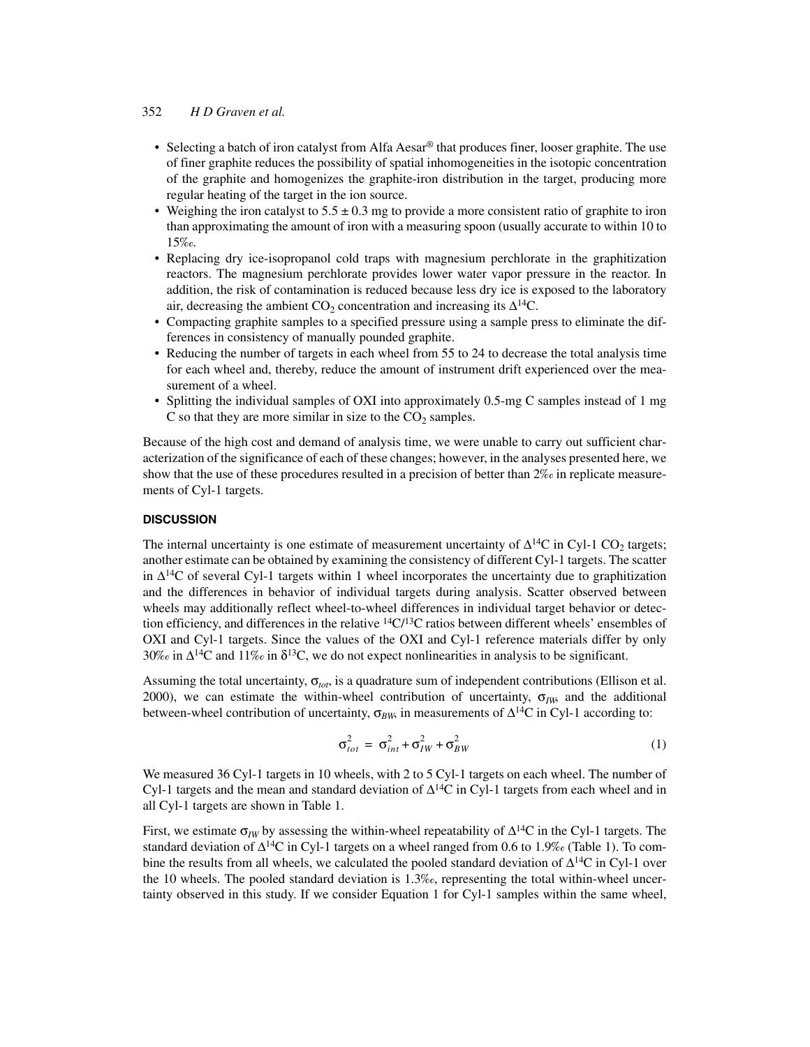- Selecting a batch of iron catalyst from Alfa Aesar<sup>®</sup> that produces finer, looser graphite. The use of finer graphite reduces the possibility of spatial inhomogeneities in the isotopic concentration of the graphite and homogenizes the graphite-iron distribution in the target, producing more regular heating of the target in the ion source.
- Weighing the iron catalyst to  $5.5 \pm 0.3$  mg to provide a more consistent ratio of graphite to iron than approximating the amount of iron with a measuring spoon (usually accurate to within 10 to 15‰.
- Replacing dry ice-isopropanol cold traps with magnesium perchlorate in the graphitization reactors. The magnesium perchlorate provides lower water vapor pressure in the reactor. In addition, the risk of contamination is reduced because less dry ice is exposed to the laboratory air, decreasing the ambient  $CO_2$  concentration and increasing its  $\Delta^{14}C$ .
- Compacting graphite samples to a specified pressure using a sample press to eliminate the differences in consistency of manually pounded graphite.
- Reducing the number of targets in each wheel from 55 to 24 to decrease the total analysis time for each wheel and, thereby, reduce the amount of instrument drift experienced over the measurement of a wheel.
- Splitting the individual samples of OXI into approximately 0.5-mg C samples instead of 1 mg C so that they are more similar in size to the  $CO<sub>2</sub>$  samples.

Because of the high cost and demand of analysis time, we were unable to carry out sufficient characterization of the significance of each of these changes; however, in the analyses presented here, we show that the use of these procedures resulted in a precision of better than 2‰ in replicate measurements of Cyl-1 targets.

# **DISCUSSION**

The internal uncertainty is one estimate of measurement uncertainty of  $\Delta^{14}C$  in Cyl-1 CO<sub>2</sub> targets; another estimate can be obtained by examining the consistency of different Cyl-1 targets. The scatter in  $\Delta^{14}$ C of several Cyl-1 targets within 1 wheel incorporates the uncertainty due to graphitization and the differences in behavior of individual targets during analysis. Scatter observed between wheels may additionally reflect wheel-to-wheel differences in individual target behavior or detection efficiency, and differences in the relative  ${}^{14}C/{}^{13}C$  ratios between different wheels' ensembles of OXI and Cyl-1 targets. Since the values of the OXI and Cyl-1 reference materials differ by only 30‰ in  $\Delta^{14}C$  and 11‰ in  $\delta^{13}C$ , we do not expect nonlinearities in analysis to be significant.

Assuming the total uncertainty,  $\sigma_{tot}$ , is a quadrature sum of independent contributions (Ellison et al. 2000), we can estimate the within-wheel contribution of uncertainty,  $\sigma_{IW}$  and the additional between-wheel contribution of uncertainty,  $\sigma_{BW}$  in measurements of  $\Delta^{14}C$  in Cyl-1 according to:

$$
\sigma_{tot}^2 = \sigma_{int}^2 + \sigma_{IW}^2 + \sigma_{BW}^2 \tag{1}
$$

We measured 36 Cyl-1 targets in 10 wheels, with 2 to 5 Cyl-1 targets on each wheel. The number of Cyl-1 targets and the mean and standard deviation of  $\Delta^{14}C$  in Cyl-1 targets from each wheel and in all Cyl-1 targets are shown in Table 1.

First, we estimate  $\sigma_{IW}$  by assessing the within-wheel repeatability of  $\Delta^{14}C$  in the Cyl-1 targets. The standard deviation of Δ<sup>14</sup>C in Cyl-1 targets on a wheel ranged from 0.6 to 1.9‰ (Table 1). To combine the results from all wheels, we calculated the pooled standard deviation of  $\Delta^{14}C$  in Cyl-1 over the 10 wheels. The pooled standard deviation is 1.3‰, representing the total within-wheel uncertainty observed in this study. If we consider Equation 1 for Cyl-1 samples within the same wheel,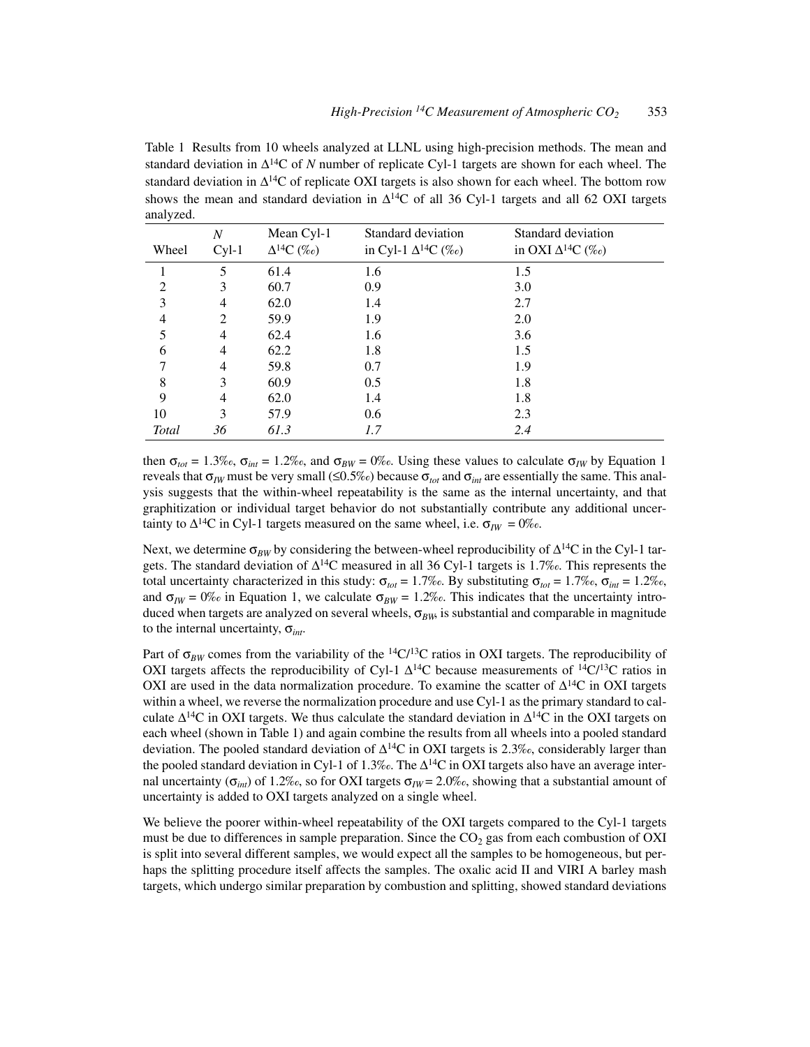Table 1 Results from 10 wheels analyzed at LLNL using high-precision methods. The mean and standard deviation in ∆14C of *N* number of replicate Cyl-1 targets are shown for each wheel. The standard deviation in  $\Delta^{14}C$  of replicate OXI targets is also shown for each wheel. The bottom row shows the mean and standard deviation in  $\Delta^{14}C$  of all 36 Cyl-1 targets and all 62 OXI targets analyzed.

|                | $\overline{N}$ | Mean Cyl-1           | Standard deviation           | Standard deviation         |
|----------------|----------------|----------------------|------------------------------|----------------------------|
| Wheel          | $Cyl-1$        | $\Delta^{14}C~(\%o)$ | in Cyl-1 $\Delta^{14}C$ (%o) | in OXI $\Delta^{14}C$ (%o) |
|                | 5              | 61.4                 | 1.6                          | 1.5                        |
| $\overline{2}$ | 3              | 60.7                 | 0.9                          | 3.0                        |
| 3              | 4              | 62.0                 | 1.4                          | 2.7                        |
| $\overline{4}$ | 2              | 59.9                 | 1.9                          | 2.0                        |
| 5              | $\overline{4}$ | 62.4                 | 1.6                          | 3.6                        |
| 6              | 4              | 62.2                 | 1.8                          | 1.5                        |
| 7              | 4              | 59.8                 | 0.7                          | 1.9                        |
| 8              | 3              | 60.9                 | 0.5                          | 1.8                        |
| 9              | 4              | 62.0                 | 1.4                          | 1.8                        |
| 10             | 3              | 57.9                 | 0.6                          | 2.3                        |
| Total          | 36             | 61.3                 | 1.7                          | 2.4                        |

then  $\sigma_{tot} = 1.3\%$ <sub>c</sub>,  $\sigma_{int} = 1.2\%$ <sub>c</sub>, and  $\sigma_{BW} = 0\%$ c. Using these values to calculate  $\sigma_{IW}$  by Equation 1 reveals that  $\sigma_{IW}$  must be very small (≤0.5‰) because  $\sigma_{tot}$  and  $\sigma_{int}$  are essentially the same. This analysis suggests that the within-wheel repeatability is the same as the internal uncertainty, and that graphitization or individual target behavior do not substantially contribute any additional uncertainty to  $\Delta^{14}$ C in Cyl-1 targets measured on the same wheel, i.e.  $\sigma_{IW} = 0\%$ .

Next, we determine  $\sigma_{BW}$  by considering the between-wheel reproducibility of  $\Delta^{14}C$  in the Cyl-1 targets. The standard deviation of  $\Delta^{14}C$  measured in all 36 Cyl-1 targets is 1.7‰. This represents the total uncertainty characterized in this study:  $\sigma_{tot} = 1.7\%$ . By substituting  $\sigma_{tot} = 1.7\%$ .  $\sigma_{int} = 1.2\%$ . and  $\sigma_{IW} = 0\%$  in Equation 1, we calculate  $\sigma_{BW} = 1.2\%$ . This indicates that the uncertainty introduced when targets are analyzed on several wheels,  $\sigma_{BW}$  is substantial and comparable in magnitude to the internal uncertainty, σ*int*.

Part of  $\sigma_{BW}$  comes from the variability of the <sup>14</sup>C/<sup>13</sup>C ratios in OXI targets. The reproducibility of OXI targets affects the reproducibility of Cyl-1  $\Delta^{14}$ C because measurements of  $^{14}C^{13}C$  ratios in OXI are used in the data normalization procedure. To examine the scatter of  $\Delta^{14}C$  in OXI targets within a wheel, we reverse the normalization procedure and use Cyl-1 as the primary standard to calculate  $\Delta^{14}C$  in OXI targets. We thus calculate the standard deviation in  $\Delta^{14}C$  in the OXI targets on each wheel (shown in Table 1) and again combine the results from all wheels into a pooled standard deviation. The pooled standard deviation of  $\Delta^{14}C$  in OXI targets is 2.3‰, considerably larger than the pooled standard deviation in Cyl-1 of 1.3‰. The  $\Delta^{14}C$  in OXI targets also have an average internal uncertainty ( $\sigma_{int}$ ) of 1.2‰, so for OXI targets  $\sigma_{IW} = 2.0\%$ , showing that a substantial amount of uncertainty is added to OXI targets analyzed on a single wheel.

We believe the poorer within-wheel repeatability of the OXI targets compared to the Cyl-1 targets must be due to differences in sample preparation. Since the  $CO<sub>2</sub>$  gas from each combustion of OXI is split into several different samples, we would expect all the samples to be homogeneous, but perhaps the splitting procedure itself affects the samples. The oxalic acid II and VIRI A barley mash targets, which undergo similar preparation by combustion and splitting, showed standard deviations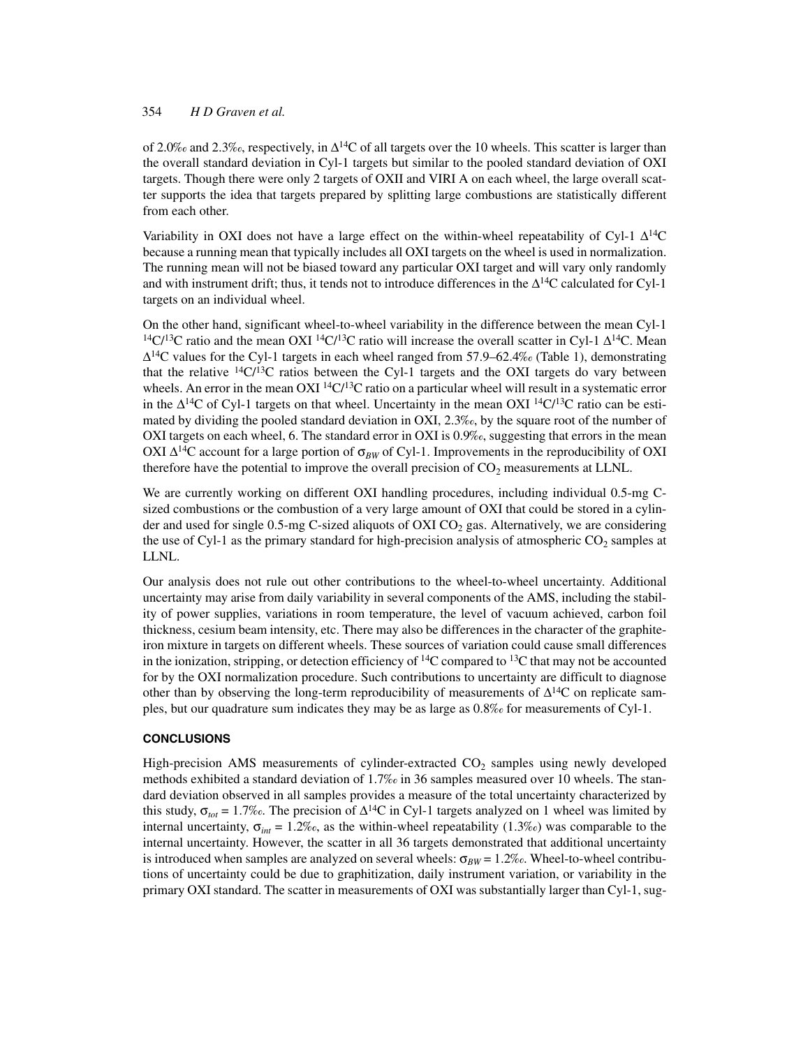of 2.0‰ and 2.3‰, respectively, in  $\Delta^{14}$ C of all targets over the 10 wheels. This scatter is larger than the overall standard deviation in Cyl-1 targets but similar to the pooled standard deviation of OXI targets. Though there were only 2 targets of OXII and VIRI A on each wheel, the large overall scatter supports the idea that targets prepared by splitting large combustions are statistically different from each other.

Variability in OXI does not have a large effect on the within-wheel repeatability of Cyl-1  $\Delta^{14}$ C because a running mean that typically includes all OXI targets on the wheel is used in normalization. The running mean will not be biased toward any particular OXI target and will vary only randomly and with instrument drift; thus, it tends not to introduce differences in the  $\Delta^{14}C$  calculated for Cyl-1 targets on an individual wheel.

On the other hand, significant wheel-to-wheel variability in the difference between the mean Cyl-1 <sup>14</sup>C/<sup>13</sup>C ratio and the mean OXI <sup>14</sup>C/<sup>13</sup>C ratio will increase the overall scatter in Cyl-1  $\Delta$ <sup>14</sup>C. Mean  $\Delta^{14}$ C values for the Cyl-1 targets in each wheel ranged from 57.9–62.4‰ (Table 1), demonstrating that the relative  $^{14}C/^{13}C$  ratios between the Cyl-1 targets and the OXI targets do vary between wheels. An error in the mean OXI  ${}^{14}C/{}^{13}C$  ratio on a particular wheel will result in a systematic error in the  $\Delta^{14}C$  of Cyl-1 targets on that wheel. Uncertainty in the mean OXI  $^{14}C/^{13}C$  ratio can be estimated by dividing the pooled standard deviation in OXI, 2.3‰, by the square root of the number of OXI targets on each wheel, 6. The standard error in OXI is 0.9‰, suggesting that errors in the mean OXI  $\Delta^{14}$ C account for a large portion of  $\sigma_{BW}$  of Cyl-1. Improvements in the reproducibility of OXI therefore have the potential to improve the overall precision of  $CO<sub>2</sub>$  measurements at LLNL.

We are currently working on different OXI handling procedures, including individual 0.5-mg Csized combustions or the combustion of a very large amount of OXI that could be stored in a cylinder and used for single 0.5-mg C-sized aliquots of OXI  $CO<sub>2</sub>$  gas. Alternatively, we are considering the use of Cyl-1 as the primary standard for high-precision analysis of atmospheric  $CO_2$  samples at LLNL.

Our analysis does not rule out other contributions to the wheel-to-wheel uncertainty. Additional uncertainty may arise from daily variability in several components of the AMS, including the stability of power supplies, variations in room temperature, the level of vacuum achieved, carbon foil thickness, cesium beam intensity, etc. There may also be differences in the character of the graphiteiron mixture in targets on different wheels. These sources of variation could cause small differences in the ionization, stripping, or detection efficiency of  ${}^{14}C$  compared to  ${}^{13}C$  that may not be accounted for by the OXI normalization procedure. Such contributions to uncertainty are difficult to diagnose other than by observing the long-term reproducibility of measurements of  $\Delta^{14}C$  on replicate samples, but our quadrature sum indicates they may be as large as 0.8‰ for measurements of Cyl-1.

# **CONCLUSIONS**

High-precision AMS measurements of cylinder-extracted  $CO<sub>2</sub>$  samples using newly developed methods exhibited a standard deviation of 1.7‰ in 36 samples measured over 10 wheels. The standard deviation observed in all samples provides a measure of the total uncertainty characterized by this study,  $\sigma_{tot} = 1.7\%$ . The precision of  $\Delta^{14}C$  in Cyl-1 targets analyzed on 1 wheel was limited by internal uncertainty,  $\sigma_{int} = 1.2\%$ , as the within-wheel repeatability (1.3‰) was comparable to the internal uncertainty. However, the scatter in all 36 targets demonstrated that additional uncertainty is introduced when samples are analyzed on several wheels:  $\sigma_{RW} = 1.2\%$ . Wheel-to-wheel contributions of uncertainty could be due to graphitization, daily instrument variation, or variability in the primary OXI standard. The scatter in measurements of OXI was substantially larger than Cyl-1, sug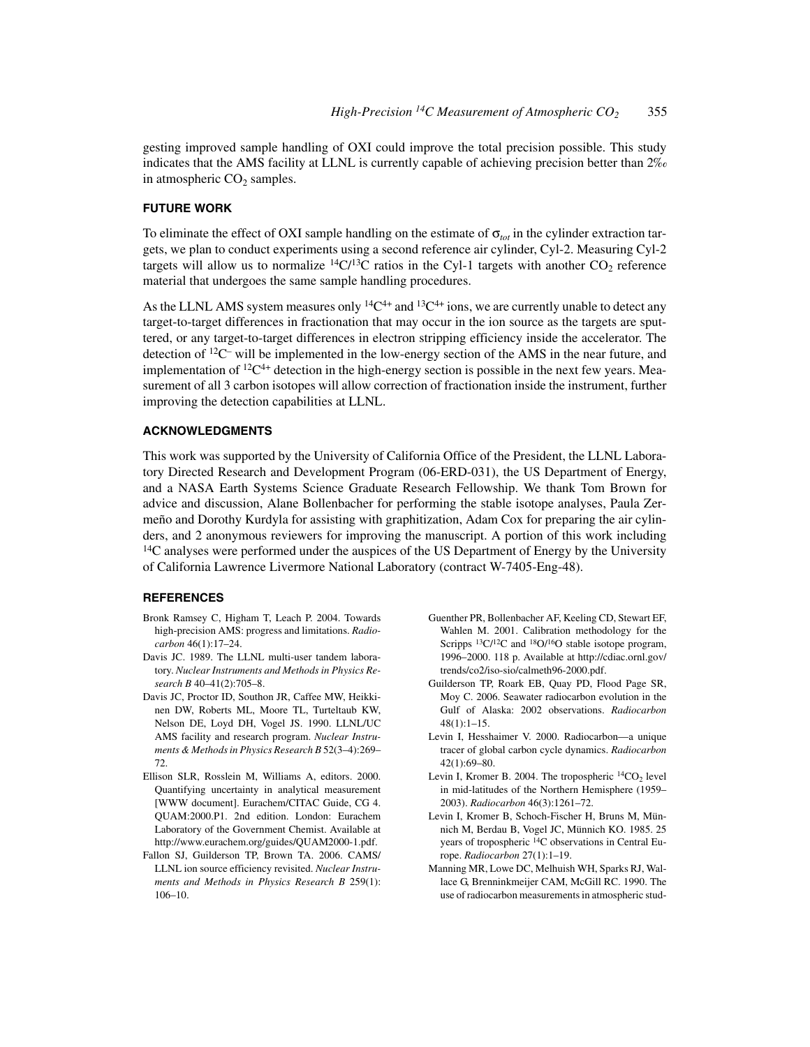gesting improved sample handling of OXI could improve the total precision possible. This study indicates that the AMS facility at LLNL is currently capable of achieving precision better than  $2\%$ in atmospheric  $CO<sub>2</sub>$  samples.

#### **FUTURE WORK**

To eliminate the effect of OXI sample handling on the estimate of  $\sigma_{tot}$  in the cylinder extraction targets, we plan to conduct experiments using a second reference air cylinder, Cyl-2. Measuring Cyl-2 targets will allow us to normalize  ${}^{14}C/{}^{13}C$  ratios in the Cyl-1 targets with another CO<sub>2</sub> reference material that undergoes the same sample handling procedures.

As the LLNL AMS system measures only  ${}^{14}C^{4+}$  and  ${}^{13}C^{4+}$  ions, we are currently unable to detect any target-to-target differences in fractionation that may occur in the ion source as the targets are sputtered, or any target-to-target differences in electron stripping efficiency inside the accelerator. The detection of  ${}^{12}C$ – will be implemented in the low-energy section of the AMS in the near future, and implementation of  ${}^{12}C^{4+}$  detection in the high-energy section is possible in the next few years. Measurement of all 3 carbon isotopes will allow correction of fractionation inside the instrument, further improving the detection capabilities at LLNL.

# **ACKNOWLEDGMENTS**

This work was supported by the University of California Office of the President, the LLNL Laboratory Directed Research and Development Program (06-ERD-031), the US Department of Energy, and a NASA Earth Systems Science Graduate Research Fellowship. We thank Tom Brown for advice and discussion, Alane Bollenbacher for performing the stable isotope analyses, Paula Zermeño and Dorothy Kurdyla for assisting with graphitization, Adam Cox for preparing the air cylinders, and 2 anonymous reviewers for improving the manuscript. A portion of this work including  $14C$  analyses were performed under the auspices of the US Department of Energy by the University of California Lawrence Livermore National Laboratory (contract W-7405-Eng-48).

#### **REFERENCES**

- Bronk Ramsey C, Higham T, Leach P. 2004. Towards high-precision AMS: progress and limitations. *Radiocarbon* 46(1):17–24.
- Davis JC. 1989. The LLNL multi-user tandem laboratory. *Nuclear Instruments and Methods in Physics Research B* 40–41(2):705–8.
- Davis JC, Proctor ID, Southon JR, Caffee MW, Heikkinen DW, Roberts ML, Moore TL, Turteltaub KW, Nelson DE, Loyd DH, Vogel JS. 1990. LLNL/UC AMS facility and research program. *Nuclear Instruments & Methods in Physics Research B* 52(3–4):269– 72.
- Ellison SLR, Rosslein M, Williams A, editors. 2000. Quantifying uncertainty in analytical measurement [WWW document]. Eurachem/CITAC Guide, CG 4. QUAM:2000.P1. 2nd edition. London: Eurachem Laboratory of the Government Chemist. Available at http://www.eurachem.org/guides/QUAM2000-1.pdf.
- Fallon SJ, Guilderson TP, Brown TA. 2006. CAMS/ LLNL ion source efficiency revisited. *Nuclear Instruments and Methods in Physics Research B* 259(1): 106–10.
- Guenther PR, Bollenbacher AF, Keeling CD, Stewart EF, Wahlen M. 2001. Calibration methodology for the Scripps <sup>13</sup>C/<sup>12</sup>C and <sup>18</sup>O/<sup>16</sup>O stable isotope program, 1996–2000. 118 p. Available at http://cdiac.ornl.gov/ trends/co2/iso-sio/calmeth96-2000.pdf.
- Guilderson TP, Roark EB, Quay PD, Flood Page SR, Moy C. 2006. Seawater radiocarbon evolution in the Gulf of Alaska: 2002 observations. *Radiocarbon*  $48(1):1-15.$
- Levin I, Hesshaimer V. 2000. Radiocarbon—a unique tracer of global carbon cycle dynamics. *Radiocarbon* 42(1):69–80.
- Levin I, Kromer B. 2004. The tropospheric  ${}^{14}CO_2$  level in mid-latitudes of the Northern Hemisphere (1959– 2003). *Radiocarbon* 46(3):1261–72.
- Levin I, Kromer B, Schoch-Fischer H, Bruns M, Münnich M, Berdau B, Vogel JC, Münnich KO. 1985. 25 years of tropospheric 14C observations in Central Europe. *Radiocarbon* 27(1):1–19.
- Manning MR, Lowe DC, Melhuish WH, Sparks RJ, Wallace G, Brenninkmeijer CAM, McGill RC. 1990. The use of radiocarbon measurements in atmospheric stud-